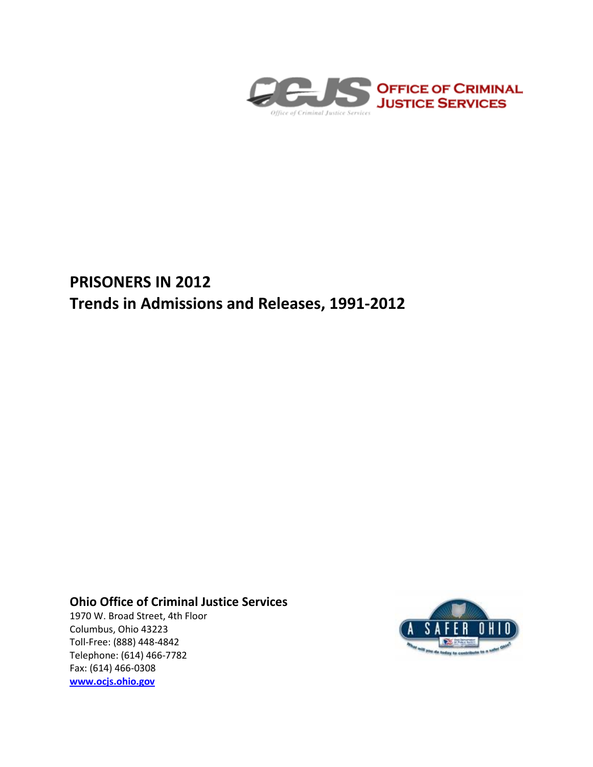

# **PRISONERS IN 2012 Trends in Admissions and Releases, 1991-2012**

## **Ohio Office of Criminal Justice Services**

1970 W. Broad Street, 4th Floor Columbus, Ohio 43223 Toll-Free: (888) 448-4842 Telephone: (614) 466-7782 Fax: (614) 466-0308 **[www.ocjs.ohio.gov](http://www.ocjs.ohio.gov/)**

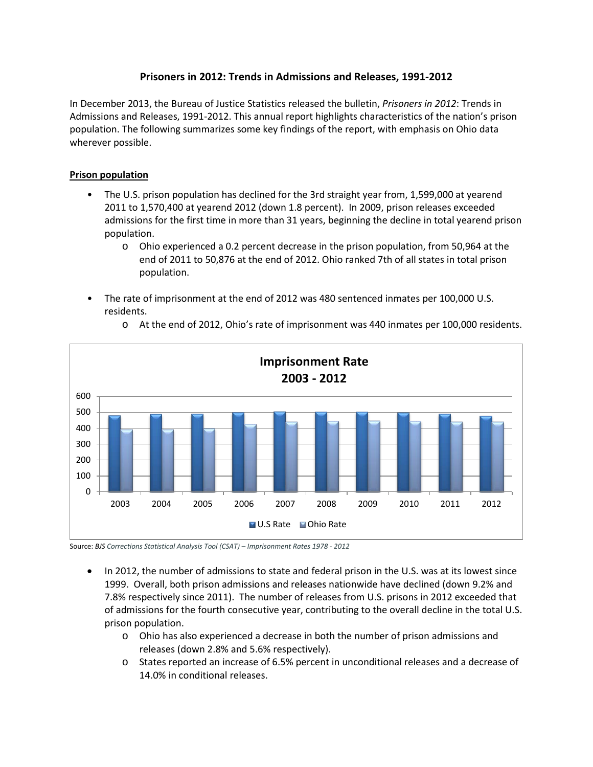### **Prisoners in 2012: Trends in Admissions and Releases, 1991-2012**

In December 2013, the Bureau of Justice Statistics released the bulletin, *Prisoners in 2012*: Trends in Admissions and Releases, 1991-2012. This annual report highlights characteristics of the nation's prison population. The following summarizes some key findings of the report, with emphasis on Ohio data wherever possible.

#### **Prison population**

- The U.S. prison population has declined for the 3rd straight year from, 1,599,000 at yearend 2011 to 1,570,400 at yearend 2012 (down 1.8 percent). In 2009, prison releases exceeded admissions for the first time in more than 31 years, beginning the decline in total yearend prison population.
	- o Ohio experienced a 0.2 percent decrease in the prison population, from 50,964 at the end of 2011 to 50,876 at the end of 2012. Ohio ranked 7th of all states in total prison population.
- The rate of imprisonment at the end of 2012 was 480 sentenced inmates per 100,000 U.S. residents.



o At the end of 2012, Ohio's rate of imprisonment was 440 inmates per 100,000 residents.

Source: *BJS Corrections Statistical Analysis Tool (CSAT) – Imprisonment Rates 1978 - 2012*

- In 2012, the number of admissions to state and federal prison in the U.S. was at its lowest since 1999. Overall, both prison admissions and releases nationwide have declined (down 9.2% and 7.8% respectively since 2011). The number of releases from U.S. prisons in 2012 exceeded that of admissions for the fourth consecutive year, contributing to the overall decline in the total U.S. prison population.
	- o Ohio has also experienced a decrease in both the number of prison admissions and releases (down 2.8% and 5.6% respectively).
	- o States reported an increase of 6.5% percent in unconditional releases and a decrease of 14.0% in conditional releases.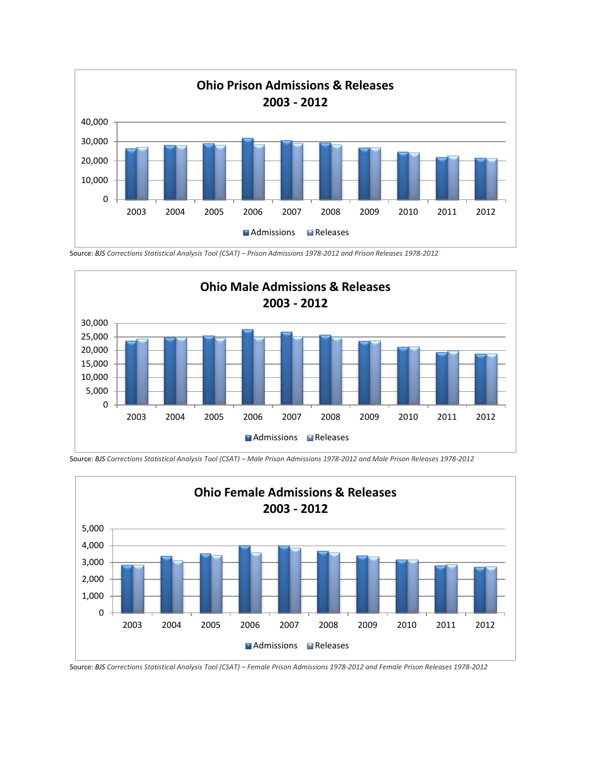

Source: *BJS Corrections Statistical Analysis Tool (CSAT) – Prison Admissions 1978-2012 and Prison Releases 1978-2012*





Source: *BJS Corrections Statistical Analysis Tool (CSAT) – Male Prison Admissions 1978-2012 and Male Prison Releases 1978-2012*

Source: *BJS Corrections Statistical Analysis Tool (CSAT) – Female Prison Admissions 1978-2012 and Female Prison Releases 1978-2012*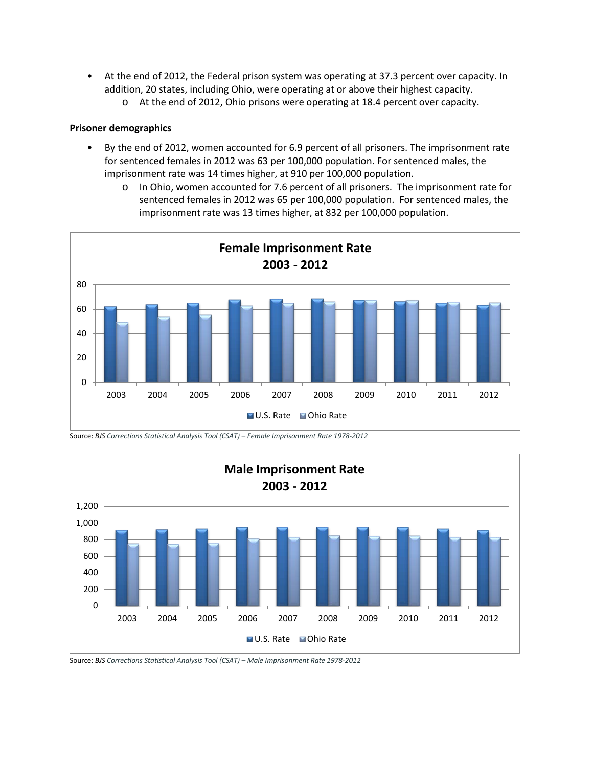- At the end of 2012, the Federal prison system was operating at 37.3 percent over capacity. In addition, 20 states, including Ohio, were operating at or above their highest capacity.
	- o At the end of 2012, Ohio prisons were operating at 18.4 percent over capacity.

#### **Prisoner demographics**

- By the end of 2012, women accounted for 6.9 percent of all prisoners. The imprisonment rate for sentenced females in 2012 was 63 per 100,000 population. For sentenced males, the imprisonment rate was 14 times higher, at 910 per 100,000 population.
	- o In Ohio, women accounted for 7.6 percent of all prisoners. The imprisonment rate for sentenced females in 2012 was 65 per 100,000 population. For sentenced males, the imprisonment rate was 13 times higher, at 832 per 100,000 population.



Source: *BJS Corrections Statistical Analysis Tool (CSAT) – Female Imprisonment Rate 1978-2012*



Source: *BJS Corrections Statistical Analysis Tool (CSAT) – Male Imprisonment Rate 1978-2012*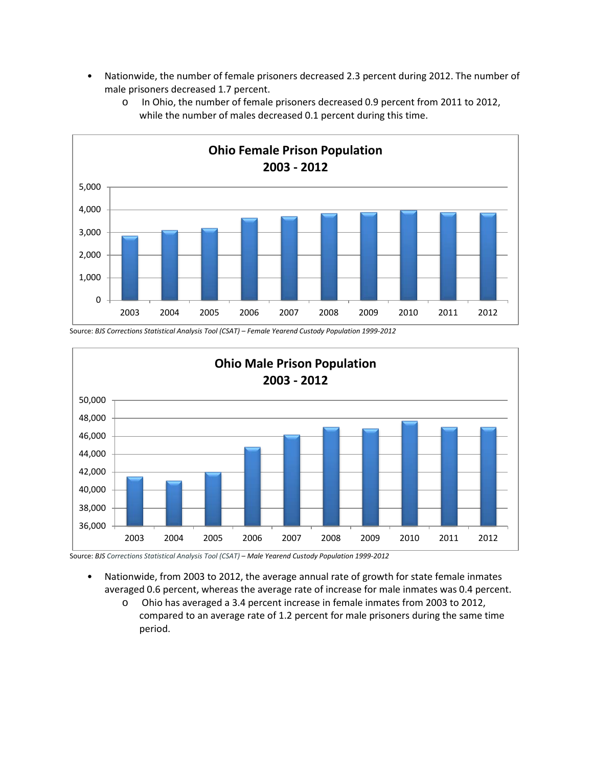• Nationwide, the number of female prisoners decreased 2.3 percent during 2012. The number of male prisoners decreased 1.7 percent.



o In Ohio, the number of female prisoners decreased 0.9 percent from 2011 to 2012, while the number of males decreased 0.1 percent during this time.

Source: *BJS Corrections Statistical Analysis Tool (CSAT) – Female Yearend Custody Population 1999-2012*



Source: *BJS Corrections Statistical Analysis Tool (CSAT)* – *Male Yearend Custody Population 1999-2012*

- Nationwide, from 2003 to 2012, the average annual rate of growth for state female inmates averaged 0.6 percent, whereas the average rate of increase for male inmates was 0.4 percent.
	- o Ohio has averaged a 3.4 percent increase in female inmates from 2003 to 2012, compared to an average rate of 1.2 percent for male prisoners during the same time period.